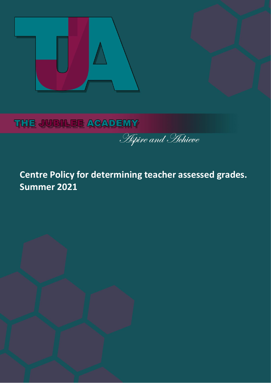

# THE JUBILEE ACADEMY

**Aspire and Hehieve** 

# **Centre Policy for determining teacher assessed grades. Summer 2021**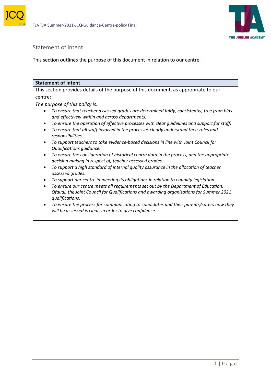



# Statement of intent

This section outlines the purpose of this document in relation to our centre.

### **Statement of Intent**

This section provides details of the purpose of this document, as appropriate to our centre:

*The purpose of this policy is:*

- *To ensure that teacher assessed grades are determined fairly, consistently, free from bias and effectively within and across departments.*
- *To ensure the operation of effective processes with clear guidelines and support for staff.*
- *To ensure that all staff involved in the processes clearly understand their roles and responsibilities.*
- *To support teachers to take evidence-based decisions in line with Joint Council for Qualifications guidance.*
- *To ensure the consideration of historical centre data in the process, and the appropriate decision making in respect of, teacher assessed grades.*
- *To support a high standard of internal quality assurance in the allocation of teacher assessed grades.*
- *To support our centre in meeting its obligations in relation to equality legislation.*
- *To ensure our centre meets all requirements set out by the Department of Education, Ofqual, the Joint Council for Qualifications and awarding organisations for Summer 2021 qualifications.*
- *To ensure the process for communicating to candidates and their parents/carers how they will be assessed is clear, in order to give confidence.*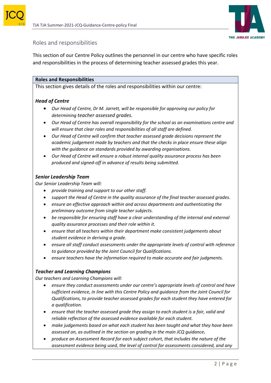



### Roles and responsibilities

This section of our Centre Policy outlines the personnel in our centre who have specific roles and responsibilities in the process of determining teacher assessed grades this year.

### **Roles and Responsibilities**

This section gives details of the roles and responsibilities within our centre:

### *Head of Centre*

- *Our Head of Centre, Dr M. Jarrett, will be responsible for approving our policy for determining teacher assessed grades.*
- *Our Head of Centre has overall responsibility for the school as an examinations centre and will ensure that clear roles and responsibilities of all staff are defined.*
- *Our Head of Centre will confirm that teacher assessed grade decisions represent the academic judgement made by teachers and that the checks in place ensure these align with the guidance on standards provided by awarding organisations.*
- *Our Head of Centre will ensure a robust internal quality assurance process has been produced and signed-off in advance of results being submitted.*

### *Senior Leadership Team*

*Our Senior Leadership Team will:*

- *provide training and support to our other staff.*
- *support the Head of Centre in the quality assurance of the final teacher assessed grades.*
- *ensure an effective approach within and across departments and authenticating the preliminary outcome from single teacher subjects.*
- *be responsible for ensuring staff have a clear understanding of the internal and external quality assurance processes and their role within it.*
- *ensure that all teachers within their department make consistent judgements about student evidence in deriving a grade.*
- *ensure all staff conduct assessments under the appropriate levels of control with reference to guidance provided by the Joint Council for Qualifications.*
- *ensure teachers have the information required to make accurate and fair judgments.*

### *Teacher and Learning Champions*

*Our teachers and Learning Champions will:*

- *ensure they conduct assessments under our centre's appropriate levels of control and have sufficient evidence, in line with this Centre Policy and guidance from the Joint Council for Qualifications, to provide teacher assessed grades for each student they have entered for a qualification.*
- *ensure that the teacher assessed grade they assign to each student is a fair, valid and reliable reflection of the assessed evidence available for each student.*
- *make judgements based on what each student has been taught and what they have been assessed on, as outlined in the section on grading in the main JCQ guidance.*
- *produce an Assessment Record for each subject cohort, that includes the nature of the assessment evidence being used, the level of control for assessments considered, and any*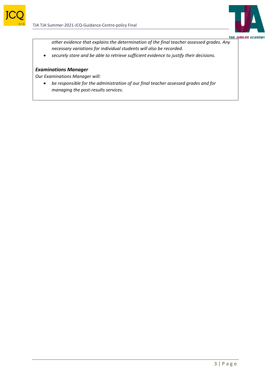



*other evidence that explains the determination of the final teacher assessed grades. Any necessary variations for individual students will also be recorded.* 

• *securely store and be able to retrieve sufficient evidence to justify their decisions.*

### *Examinations Manager*

*Our Examinations Manager will:*

• *be responsible for the administration of our final teacher assessed grades and for managing the post-results services.*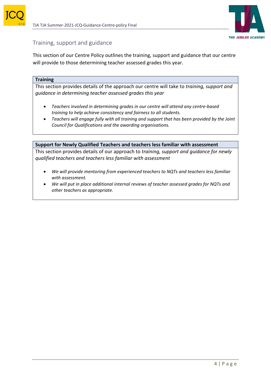



# Training, support and guidance

This section of our Centre Policy outlines the training, support and guidance that our centre will provide to those determining teacher assessed grades this year.

### **Training**

This section provides details of the approach our centre will take to *training, support and guidance in determining teacher assessed grades this year*

- *Teachers involved in determining grades in our centre will attend any centre-based training to help achieve consistency and fairness to all students.*
- *Teachers will engage fully with all training and support that has been provided by the Joint Council for Qualifications and the awarding organisations.*

### **Support for Newly Qualified Teachers and teachers less familiar with assessment**

This section provides details of our approach to *training, support and guidance for newly qualified teachers and teachers less familiar with assessment*

- *We will provide mentoring from experienced teachers to NQTs and teachers less familiar with assessment.*
- *We will put in place additional internal reviews of teacher assessed grades for NQTs and other teachers as appropriate.*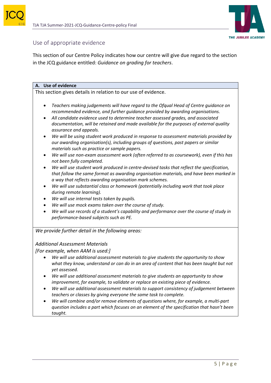



## Use of appropriate evidence

This section of our Centre Policy indicates how our centre will give due regard to the section in the JCQ guidance entitled: *Guidance on grading for teachers*.

### **A. Use of evidence**

This section gives details in relation to our use of evidence.

- *Teachers making judgements will have regard to the Ofqual Head of Centre guidance on recommended evidence, and further guidance provided by awarding organisations.*
- *All candidate evidence used to determine teacher assessed grades, and associated documentation, will be retained and made available for the purposes of external quality assurance and appeals.*
- *We will be using student work produced in response to assessment materials provided by our awarding organisation(s), including groups of questions, past papers or similar materials such as practice or sample papers.*
- *We will use non-exam assessment work (often referred to as coursework), even if this has not been fully completed.*
- *We will use student work produced in centre-devised tasks that reflect the specification, that follow the same format as awarding organisation materials, and have been marked in a way that reflects awarding organisation mark schemes.*
- *We will use substantial class or homework (potentially including work that took place during remote learning).*
- *We will use internal tests taken by pupils.*
- *We will use mock exams taken over the course of study.*
- *We will use records of a student's capability and performance over the course of study in performance-based subjects such as PE.*

*We provide further detail in the following areas:*

### *Additional Assessment Materials*

*[For example, when AAM is used:]*

- *We will use additional assessment materials to give students the opportunity to show what they know, understand or can do in an area of content that has been taught but not yet assessed.*
- *We will use additional assessment materials to give students an opportunity to show improvement, for example, to validate or replace an existing piece of evidence.*
- *We will use additional assessment materials to support consistency of judgement between teachers or classes by giving everyone the same task to complete.*
- *We will combine and/or remove elements of questions where, for example, a multi-part question includes a part which focuses on an element of the specification that hasn't been taught.*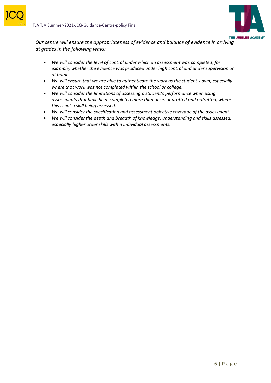



*Our centre will ensure the appropriateness of evidence and balance of evidence in arriving at grades in the following ways:*

- *We will consider the level of control under which an assessment was completed, for example, whether the evidence was produced under high control and under supervision or at home.*
- *We will ensure that we are able to authenticate the work as the student's own, especially where that work was not completed within the school or college.*
- *We will consider the limitations of assessing a student's performance when using assessments that have been completed more than once, or drafted and redrafted, where this is not a skill being assessed.*
- *We will consider the specification and assessment objective coverage of the assessment.*
- *We will consider the depth and breadth of knowledge, understanding and skills assessed, especially higher order skills within individual assessments.*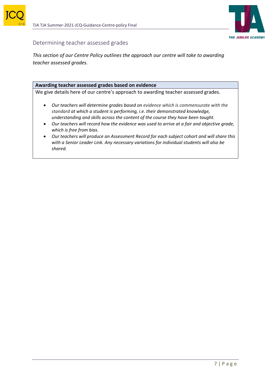



# Determining teacher assessed grades

*This section of our Centre Policy outlines the approach our centre will take to awarding teacher assessed grades.*

### **Awarding teacher assessed grades based on evidence**

We give details here of our centre's approach to awarding teacher assessed grades*.*

- *Our teachers will determine grades based on evidence which is commensurate with the standard at which a student is performing, i.e. their demonstrated knowledge, understanding and skills across the content of the course they have been taught.*
- *Our teachers will record how the evidence was used to arrive at a fair and objective grade, which is free from bias.*
- *Our teachers will produce an Assessment Record for each subject cohort and will share this with a Senior Leader Link. Any necessary variations for individual students will also be shared.*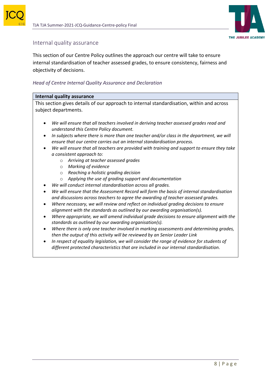



### Internal quality assurance

This section of our Centre Policy outlines the approach our centre will take to ensure internal standardisation of teacher assessed grades, to ensure consistency, fairness and objectivity of decisions.

### *Head of Centre Internal Quality Assurance and Declaration*

### **Internal quality assurance**

This section gives details of our approach to internal standardisation, within and across subject departments.

- *We will ensure that all teachers involved in deriving teacher assessed grades read and understand this Centre Policy document.*
- *In subjects where there is more than one teacher and/or class in the department, we will ensure that our centre carries out an internal standardisation process.*
- *We will ensure that all teachers are provided with training and support to ensure they take a consistent approach to:*
	- o *Arriving at teacher assessed grades*
	- o *Marking of evidence*
	- o *Reaching a holistic grading decision*
	- o *Applying the use of grading support and documentation*
- *We will conduct internal standardisation across all grades.*
- *We will ensure that the Assessment Record will form the basis of internal standardisation and discussions across teachers to agree the awarding of teacher assessed grades.*
- *Where necessary, we will review and reflect on individual grading decisions to ensure alignment with the standards as outlined by our awarding organisation(s).*
- *Where appropriate, we will amend individual grade decisions to ensure alignment with the standards as outlined by our awarding organisation(s).*
- *Where there is only one teacher involved in marking assessments and determining grades, then the output of this activity will be reviewed by an Senior Leader Link*
- *In respect of equality legislation, we will consider the range of evidence for students of different protected characteristics that are included in our internal standardisation.*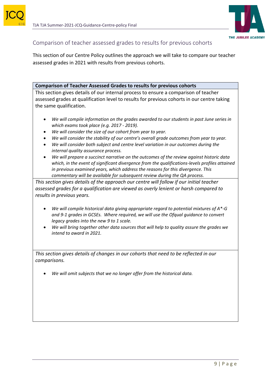



## Comparison of teacher assessed grades to results for previous cohorts

This section of our Centre Policy outlines the approach we will take to compare our teacher assessed grades in 2021 with results from previous cohorts.

**Comparison of Teacher Assessed Grades to results for previous cohorts**

This section gives details of our internal process to ensure a comparison of teacher assessed grades at qualification level to results for previous cohorts in our centre taking the same qualification.

- *We will compile information on the grades awarded to our students in past June series in which exams took place (e.g. 2017 - 2019).*
- *We will consider the size of our cohort from year to year.*
- *We will consider the stability of our centre's overall grade outcomes from year to year.*
- *We will consider both subject and centre level variation in our outcomes during the internal quality assurance process.*
- *We will prepare a succinct narrative on the outcomes of the review against historic data which, in the event of significant divergence from the qualifications-levels profiles attained in previous examined years, which address the reasons for this divergence. This commentary will be available for subsequent review during the QA process.*

*This section gives details of the approach our centre will follow if our initial teacher assessed grades for a qualification are viewed as overly lenient or harsh compared to results in previous years.*

- *We will compile historical data giving appropriate regard to potential mixtures of A\*-G and 9-1 grades in GCSEs. Where required, we will use the Ofqual guidance to convert legacy grades into the new 9 to 1 scale.*
- *We will bring together other data sources that will help to quality assure the grades we intend to award in 2021.*

*This section gives details of changes in our cohorts that need to be reflected in our comparisons.* 

• *We will omit subjects that we no longer offer from the historical data.*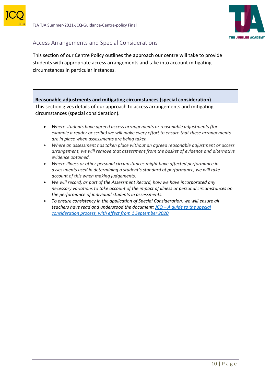



# Access Arrangements and Special Considerations

This section of our Centre Policy outlines the approach our centre will take to provide students with appropriate access arrangements and take into account mitigating circumstances in particular instances.

**Reasonable adjustments and mitigating circumstances (special consideration)** This section gives details of our approach to access arrangements and mitigating circumstances (special consideration).

- *Where students have agreed access arrangements or reasonable adjustments (for example a reader or scribe) we will make every effort to ensure that these arrangements are in place when assessments are being taken.*
- *Where an assessment has taken place without an agreed reasonable adjustment or access arrangement, we will remove that assessment from the basket of evidence and alternative evidence obtained.*
- *Where illness or other personal circumstances might have affected performance in assessments used in determining a student's standard of performance, we will take account of this when making judgements.*
- *We will record, as part of the Assessment Record, how we have incorporated any necessary variations to take account of the impact of illness or personal circumstances on the performance of individual students in assessments.*
- *To ensure consistency in the application of Special Consideration, we will ensure all teachers have read and understood the document: JCQ – [A guide to the special](https://www.jcq.org.uk/wp-content/uploads/2020/08/A-guide-to-the-spec-con-process-202021-Website-version.pdf)  [consideration process, with effect from 1 September 2020](https://www.jcq.org.uk/wp-content/uploads/2020/08/A-guide-to-the-spec-con-process-202021-Website-version.pdf)*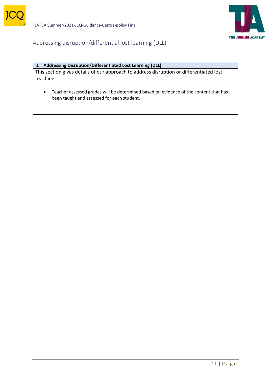



# Addressing disruption/differential lost learning (DLL)

## B. **Addressing Disruption/Differentiated Lost Learning (DLL)**

This section gives details of our approach to address disruption or differentiated lost teaching.

• Teacher assessed grades will be determined based on evidence of the content that has been taught and assessed for each student.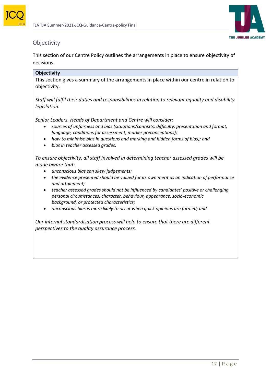



# Objectivity

This section of our Centre Policy outlines the arrangements in place to ensure objectivity of decisions.

### **Objectivity**

This section gives a summary of the arrangements in place within our centre in relation to objectivity.

*Staff will fulfil their duties and responsibilities in relation to relevant equality and disability legislation.*

*Senior Leaders, Heads of Department and Centre will consider:*

- *sources of unfairness and bias (situations/contexts, difficulty, presentation and format, language, conditions for assessment, marker preconceptions);*
- *how to minimise bias in questions and marking and hidden forms of bias); and*
- *bias in teacher assessed grades.*

*To ensure objectivity, all staff involved in determining teacher assessed grades will be made aware that:*

- *unconscious bias can skew judgements;*
- *the evidence presented should be valued for its own merit as an indication of performance and attainment;*
- *teacher assessed grades should not be influenced by candidates' positive or challenging personal circumstances, character, behaviour, appearance, socio-economic background, or protected characteristics;*
- *unconscious bias is more likely to occur when quick opinions are formed; and*

*Our internal standardisation process will help to ensure that there are different perspectives to the quality assurance process.*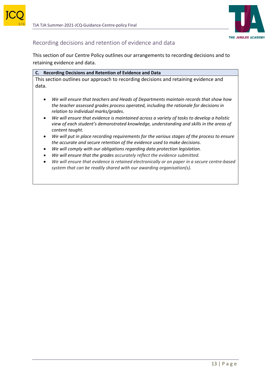



# Recording decisions and retention of evidence and data

This section of our Centre Policy outlines our arrangements to recording decisions and to retaining evidence and data.

| C. Recording Decisions and Retention of Evidence and Data                                                                                                                                                                                                                                                                                                                                                                                                                                                                                                                                                                                  |
|--------------------------------------------------------------------------------------------------------------------------------------------------------------------------------------------------------------------------------------------------------------------------------------------------------------------------------------------------------------------------------------------------------------------------------------------------------------------------------------------------------------------------------------------------------------------------------------------------------------------------------------------|
| This section outlines our approach to recording decisions and retaining evidence and                                                                                                                                                                                                                                                                                                                                                                                                                                                                                                                                                       |
| data.                                                                                                                                                                                                                                                                                                                                                                                                                                                                                                                                                                                                                                      |
| We will ensure that teachers and Heads of Departments maintain records that show how<br>$\bullet$<br>the teacher assessed grades process operated, including the rationale for decisions in<br>relation to individual marks/grades.<br>• We will ensure that evidence is maintained across a variety of tasks to develop a holistic<br>view of each student's demonstrated knowledge, understanding and skills in the areas of<br>content taught.<br>We will put in place recording requirements for the various stages of the process to ensure<br>$\bullet$<br>the accurate and secure retention of the evidence used to make decisions. |

- *We will comply with our obligations regarding data protection legislation.*
- *We will ensure that the grades accurately reflect the evidence submitted.*
- *We will ensure that evidence is retained electronically or on paper in a secure centre-based system that can be readily shared with our awarding organisation(s).*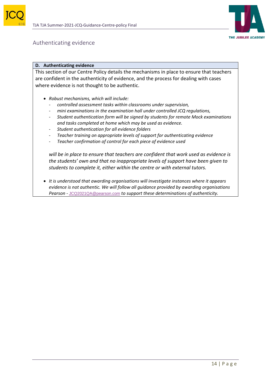



### Authenticating evidence

### **D. Authenticating evidence**

This section of our Centre Policy details the mechanisms in place to ensure that teachers are confident in the authenticity of evidence, and the process for dealing with cases where evidence is not thought to be authentic.

- *Robust mechanisms, which will include:*
	- *controlled assessment tasks within classrooms under supervision,*
	- mini examinations in the examination hall under controlled JCQ regulations,
	- *Student authentication form will be signed by students for remote Mock examinations and tasks completed at home which may be used as evidence.*
	- *Student authentication for all evidence folders*
	- *Teacher training on appropriate levels of support for authenticating evidence*
	- *Teacher confirmation of control for each piece of evidence used*

*will be in place to ensure that teachers are confident that work used as evidence is the students' own and that no inappropriate levels of support have been given to students to complete it, either within the centre or with external tutors.* 

• *It is understood that awarding organisations will investigate instances where it appears evidence is not authentic. We will follow all guidance provided by awarding organisations Pearson -* [JCQ2021QA@pearson.com](mailto:JCQ2021QA@pearson.com) *to support these determinations of authenticity.*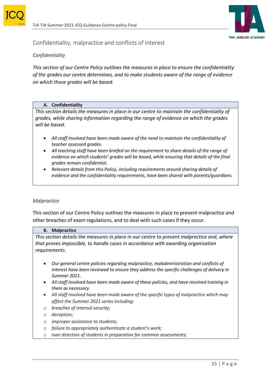



# Confidentiality, malpractice and conflicts of interest

### *Confidentiality*

*This section of our Centre Policy outlines the measures in place to ensure the confidentiality of the grades our centre determines, and to make students aware of the range of evidence on which those grades will be based.*

### **A. Confidentiality**

*This section details the measures in place in our centre to maintain the confidentiality of grades, while sharing information regarding the range of evidence on which the grades will be based.* 

- *All staff involved have been made aware of the need to maintain the confidentiality of teacher assessed grades.*
- *All teaching staff have been briefed on the requirement to share details of the range of evidence on which students' grades will be based, while ensuring that details of the final grades remain confidential.*
- *Relevant details from this Policy, including requirements around sharing details of evidence and the confidentiality requirements, have been shared with parents/guardians.*

### *Malpractice*

This section of our Centre Policy outlines the measures in place to prevent malpractice and other breaches of exam regulations, and to deal with such cases if they occur.

### **B. Malpractice**

*This section details the measures in place in our centre to prevent malpractice and, where that proves impossible, to handle cases in accordance with awarding organisation requirements.*

- *Our general centre policies regarding malpractice, maladministration and conflicts of interest have been reviewed to ensure they address the specific challenges of delivery in Summer 2021.*
- *All staff involved have been made aware of these policies, and have received training in them as necessary.*
- *All staff involved have been made aware of the specific types of malpractice which may affect the Summer 2021 series including:*
- o *breaches of internal security;*
- o *deception;*
- o *improper assistance to students;*
- o *failure to appropriately authenticate a student's work;*
- o *over direction of students in preparation for common assessments;*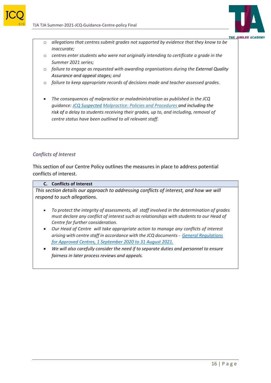

- o *allegations that centres submit grades not supported by evidence that they know to be inaccurate;*
- o *centres enter students who were not originally intending to certificate a grade in the Summer 2021 series;*
- o *failure to engage as requested with awarding organisations during the External Quality Assurance and appeal stages; and*
- o *failure to keep appropriate records of decisions made and teacher assessed grades.*
- *The consequences of malpractice or maladministration as published in the JCQ guidance: [JCQ Suspected](https://www.jcq.org.uk/exams-office/malpractice/jcq-suspected-malpractice-policies-and-procedures-2019-2020) Malpractice: Policies and Procedures and including the risk of a delay to students receiving their grades, up to, and including, removal of centre status have been outlined to all relevant staff.*

### *Conflicts of Interest*

This section of our Centre Policy outlines the measures in place to address potential conflicts of interest.

### **C. Conflicts of Interest**

*This section details our approach to addressing conflicts of interest, and how we will respond to such allegations.* 

- *To protect the integrity of assessments, all staff involved in the determination of grades must declare any conflict of interest such as relationships with students to our Head of Centre for further consideration.*
- *Our Head of Centre will take appropriate action to manage any conflicts of interest arising with centre staff in accordance with the JCQ documents - [General Regulations](https://www.jcq.org.uk/wp-content/uploads/2020/09/Gen_regs_approved_centres_20-21_FINAL.pdf)  [for Approved Centres, 1 September 2020 to 31 August 2021.](https://www.jcq.org.uk/wp-content/uploads/2020/09/Gen_regs_approved_centres_20-21_FINAL.pdf)*
- *We will also carefully consider the need if to separate duties and personnel to ensure fairness in later process reviews and appeals.*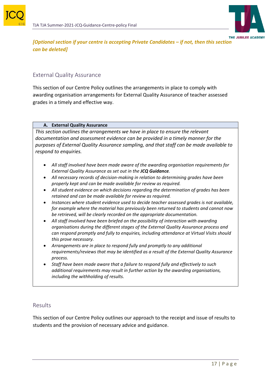



*[Optional section if your centre is accepting Private Candidates – if not, then this section can be deleted]*

# External Quality Assurance

This section of our Centre Policy outlines the arrangements in place to comply with awarding organisation arrangements for External Quality Assurance of teacher assessed grades in a timely and effective way.

### **A. External Quality Assurance**

*This section outlines the arrangements we have in place to ensure the relevant documentation and assessment evidence can be provided in a timely manner for the purposes of External Quality Assurance sampling, and that staff can be made available to respond to enquiries.* 

- *All staff involved have been made aware of the awarding organisation requirements for External Quality Assurance as set out in the JCQ Guidance.*
- *All necessary records of decision-making in relation to determining grades have been properly kept and can be made available for review as required.*
- *All student evidence on which decisions regarding the determination of grades has been retained and can be made available for review as required.*
- *Instances where student evidence used to decide teacher assessed grades is not available, for example where the material has previously been returned to students and cannot now be retrieved, will be clearly recorded on the appropriate documentation.*
- *All staff involved have been briefed on the possibility of interaction with awarding organisations during the different stages of the External Quality Assurance process and can respond promptly and fully to enquiries, including attendance at Virtual Visits should this prove necessary.*
- *Arrangements are in place to respond fully and promptly to any additional requirements/reviews that may be identified as a result of the External Quality Assurance process.*
- *Staff have been made aware that a failure to respond fully and effectively to such additional requirements may result in further action by the awarding organisations, including the withholding of results.*

# Results

This section of our Centre Policy outlines our approach to the receipt and issue of results to students and the provision of necessary advice and guidance.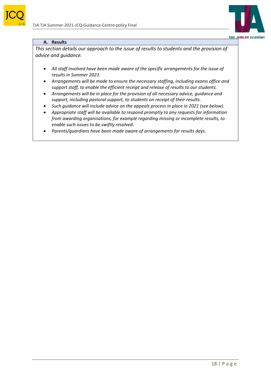



#### **A. Results**

*This section details our approach to the issue of results to students and the provision of advice and guidance.* 

- *All staff involved have been made aware of the specific arrangements for the issue of results in Summer 2021.*
- *Arrangements will be made to ensure the necessary staffing, including exams office and support staff, to enable the efficient receipt and release of results to our students.*
- *Arrangements will be in place for the provision of all necessary advice, guidance and support, including pastoral support, to students on receipt of their results.*
- *Such guidance will include advice on the appeals process in place in 2021 (see below).*
- *Appropriate staff will be available to respond promptly to any requests for information from awarding organisations, for example regarding missing or incomplete results, to enable such issues to be swiftly resolved.*
- *Parents/guardians have been made aware of arrangements for results days.*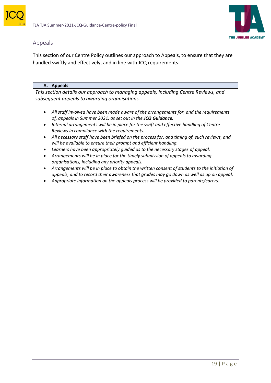



## Appeals

This section of our Centre Policy outlines our approach to Appeals, to ensure that they are handled swiftly and effectively, and in line with JCQ requirements.

### **A. Appeals**

*This section details our approach to managing appeals, including Centre Reviews, and subsequent appeals to awarding organisations.* 

- *All staff involved have been made aware of the arrangements for, and the requirements of, appeals in Summer 2021, as set out in the JCQ Guidance.*
- *Internal arrangements will be in place for the swift and effective handling of Centre Reviews in compliance with the requirements.*
- *All necessary staff have been briefed on the process for, and timing of, such reviews, and will be available to ensure their prompt and efficient handling.*
- *Learners have been appropriately guided as to the necessary stages of appeal.*
- *Arrangements will be in place for the timely submission of appeals to awarding organisations, including any priority appeals.*
- *Arrangements will be in place to obtain the written consent of students to the initiation of appeals, and to record their awareness that grades may go down as well as up on appeal.*
- *Appropriate information on the appeals process will be provided to parents/carers*.